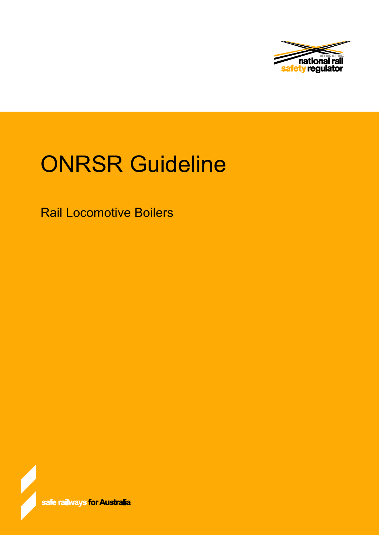

# ONRSR Guideline

Rail Locomotive Boilers

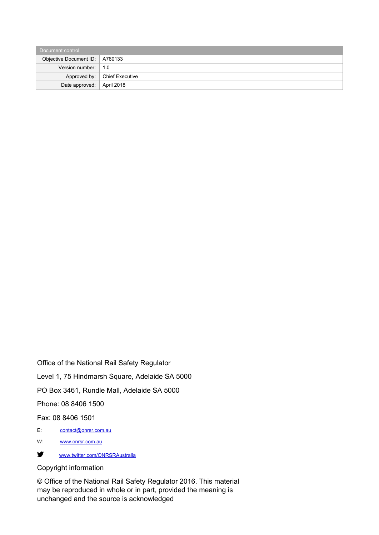| Document control                 |                                |  |  |  |
|----------------------------------|--------------------------------|--|--|--|
| Objective Document ID:   A760133 |                                |  |  |  |
| Version number: $\vert$ 1.0      |                                |  |  |  |
|                                  | Approved by:   Chief Executive |  |  |  |
| Date approved:   April 2018      |                                |  |  |  |

Office of the National Rail Safety Regulator Level 1, 75 Hindmarsh Square, Adelaide SA 5000 PO Box 3461, Rundle Mall, Adelaide SA 5000 Phone: 08 8406 1500

Fax: 08 8406 1501

- E: [contact@onrsr.com.au](mailto:contact@onrsr.com.au)
- W: [www.onrsr.com.au](http://www.onrsr.com.au/)
- [www.twitter.com/ONRSRAustralia](http://www.twitter.com/ONRSRAustralia)

#### Copyright information

© Office of the National Rail Safety Regulator 2016. This material may be reproduced in whole or in part, provided the meaning is unchanged and the source is acknowledged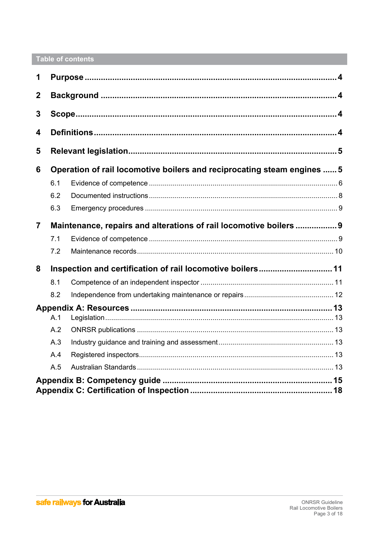## Table of contents

| 1              |                                                                         |                                                                    |  |  |
|----------------|-------------------------------------------------------------------------|--------------------------------------------------------------------|--|--|
| $\overline{2}$ |                                                                         |                                                                    |  |  |
| 3              |                                                                         |                                                                    |  |  |
| 4              |                                                                         |                                                                    |  |  |
| 5              |                                                                         |                                                                    |  |  |
| 6              | Operation of rail locomotive boilers and reciprocating steam engines  5 |                                                                    |  |  |
|                | 6.1                                                                     |                                                                    |  |  |
|                | 6.2                                                                     |                                                                    |  |  |
|                | 6.3                                                                     |                                                                    |  |  |
| $\overline{7}$ |                                                                         | Maintenance, repairs and alterations of rail locomotive boilers  9 |  |  |
|                | 7.1                                                                     |                                                                    |  |  |
|                | 7.2                                                                     |                                                                    |  |  |
| 8              |                                                                         | Inspection and certification of rail locomotive boilers 11         |  |  |
|                | 8.1                                                                     |                                                                    |  |  |
|                | 8.2                                                                     |                                                                    |  |  |
|                |                                                                         |                                                                    |  |  |
|                | A.1                                                                     |                                                                    |  |  |
|                | A.2                                                                     |                                                                    |  |  |
|                | A.3                                                                     |                                                                    |  |  |
|                | A.4                                                                     |                                                                    |  |  |
|                | A.5                                                                     |                                                                    |  |  |
|                |                                                                         |                                                                    |  |  |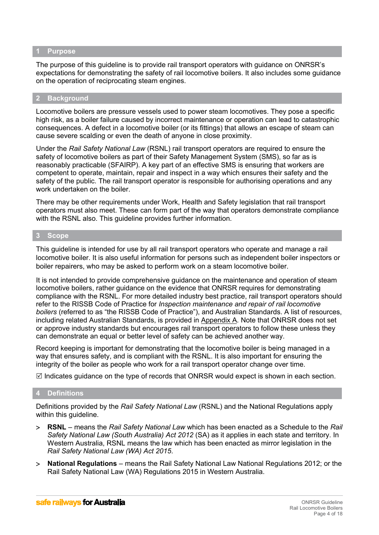#### <span id="page-3-3"></span>**1 Purpose**

The purpose of this guideline is to provide rail transport operators with guidance on ONRSR's expectations for demonstrating the safety of rail locomotive boilers. It also includes some guidance on the operation of reciprocating steam engines.

#### <span id="page-3-2"></span>**2 Background**

Locomotive boilers are pressure vessels used to power steam locomotives. They pose a specific high risk, as a boiler failure caused by incorrect maintenance or operation can lead to catastrophic consequences. A defect in a locomotive boiler (or its fittings) that allows an escape of steam can cause severe scalding or even the death of anyone in close proximity.

Under the *Rail Safety National Law* (RSNL) rail transport operators are required to ensure the safety of locomotive boilers as part of their Safety Management System (SMS), so far as is reasonably practicable (SFAIRP). A key part of an effective SMS is ensuring that workers are competent to operate, maintain, repair and inspect in a way which ensures their safety and the safety of the public. The rail transport operator is responsible for authorising operations and any work undertaken on the boiler.

There may be other requirements under Work, Health and Safety legislation that rail transport operators must also meet. These can form part of the way that operators demonstrate compliance with the RSNL also. This guideline provides further information.

## <span id="page-3-1"></span>**3 Scope**

This guideline is intended for use by all rail transport operators who operate and manage a rail locomotive boiler. It is also useful information for persons such as independent boiler inspectors or boiler repairers, who may be asked to perform work on a steam locomotive boiler.

It is not intended to provide comprehensive guidance on the maintenance and operation of steam locomotive boilers, rather guidance on the evidence that ONRSR requires for demonstrating compliance with the RSNL. For more detailed industry best practice, rail transport operators should refer to the RISSB Code of Practice for *Inspection maintenance and repair of rail locomotive boilers* (referred to as "the RISSB Code of Practice"), and Australian Standards. A list of resources, including related Australian Standards, is provided in Appendix A. Note that ONRSR does not set or approve industry standards but encourages rail transport operators to follow these unless they can demonstrate an equal or better level of safety can be achieved another way.

Record keeping is important for demonstrating that the locomotive boiler is being managed in a way that ensures safety, and is compliant with the RSNL. It is also important for ensuring the integrity of the boiler as people who work for a rail transport operator change over time.

 $\boxtimes$  Indicates guidance on the type of records that ONRSR would expect is shown in each section.

#### <span id="page-3-0"></span>**4 Definitions**

Definitions provided by the *Rail Safety National Law* (RSNL) and the National Regulations apply within this guideline.

- **RSNL**  means the *Rail Safety National Law* which has been enacted as a Schedule to the *Rail Safety National Law (South Australia) Act 2012* (SA) as it applies in each state and territory. In Western Australia, RSNL means the law which has been enacted as mirror legislation in the *Rail Safety National Law (WA) Act 2015*.
- **National Regulations**  means the Rail Safety National Law National Regulations 2012; or the Rail Safety National Law (WA) Regulations 2015 in Western Australia.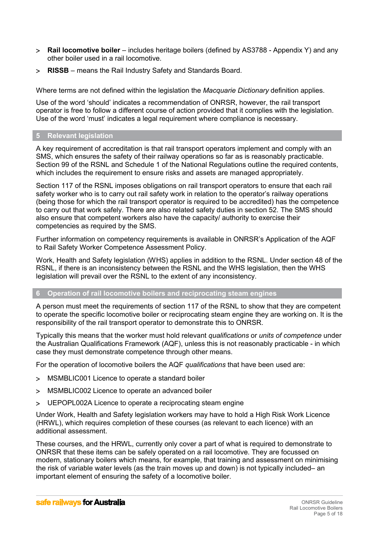- **Rail locomotive boiler**  includes heritage boilers (defined by AS3788 Appendix Y) and any other boiler used in a rail locomotive.
- **RISSB** means the Rail Industry Safety and Standards Board.

Where terms are not defined within the legislation the *Macquarie Dictionary* definition applies.

Use of the word 'should' indicates a recommendation of ONRSR, however, the rail transport operator is free to follow a different course of action provided that it complies with the legislation. Use of the word 'must' indicates a legal requirement where compliance is necessary.

## <span id="page-4-1"></span>**5 Relevant legislation**

A key requirement of accreditation is that rail transport operators implement and comply with an SMS, which ensures the safety of their railway operations so far as is reasonably practicable. Section 99 of the RSNL and Schedule 1 of the National Regulations outline the required contents, which includes the requirement to ensure risks and assets are managed appropriately.

Section 117 of the RSNL imposes obligations on rail transport operators to ensure that each rail safety worker who is to carry out rail safety work in relation to the operator's railway operations (being those for which the rail transport operator is required to be accredited) has the competence to carry out that work safely. There are also related safety duties in section 52. The SMS should also ensure that competent workers also have the capacity/ authority to exercise their competencies as required by the SMS.

Further information on competency requirements is available in ONRSR's Application of the AQF to Rail Safety Worker Competence Assessment Policy.

Work, Health and Safety legislation (WHS) applies in addition to the RSNL. Under section 48 of the RSNL, if there is an inconsistency between the RSNL and the WHS legislation, then the WHS legislation will prevail over the RSNL to the extent of any inconsistency.

#### <span id="page-4-0"></span>**6 Operation of rail locomotive boilers and reciprocating steam engines**

A person must meet the requirements of section 117 of the RSNL to show that they are competent to operate the specific locomotive boiler or reciprocating steam engine they are working on. It is the responsibility of the rail transport operator to demonstrate this to ONRSR.

Typically this means that the worker must hold relevant *qualifications* or *units of competence* under the Australian Qualifications Framework (AQF), unless this is not reasonably practicable - in which case they must demonstrate competence through other means.

For the operation of locomotive boilers the AQF *qualifications* that have been used are:

- MSMBLIC001 [Licence to operate a standard boiler](http://www.myskills.gov.au/courses/unit?Code=MSABLIC001)
- MSMBLIC002 [Licence to operate an advanced boiler](http://www.myskills.gov.au/courses/unit?Code=MSABLIC002)
- UEPOPL002A Licence to operate a reciprocating steam engine

Under Work, Health and Safety legislation workers may have to hold a High Risk Work Licence (HRWL), which requires completion of these courses (as relevant to each licence) with an additional assessment.

These courses, and the HRWL, currently only cover a part of what is required to demonstrate to ONRSR that these items can be safely operated on a rail locomotive. They are focussed on modern, stationary boilers which means, for example, that training and assessment on minimising the risk of variable water levels (as the train moves up and down) is not typically included– an important element of ensuring the safety of a locomotive boiler.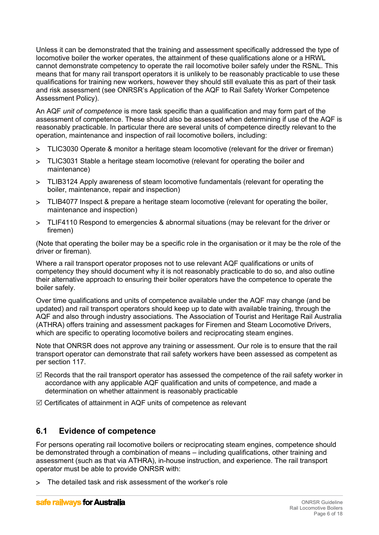Unless it can be demonstrated that the training and assessment specifically addressed the type of locomotive boiler the worker operates, the attainment of these qualifications alone or a HRWL cannot demonstrate competency to operate the rail locomotive boiler safely under the RSNL. This means that for many rail transport operators it is unlikely to be reasonably practicable to use these qualifications for training new workers, however they should still evaluate this as part of their task and risk assessment (see ONRSR's Application of the AQF to Rail Safety Worker Competence Assessment Policy).

An AQF *unit of competence* is more task specific than a qualification and may form part of the assessment of competence. These should also be assessed when determining if use of the AQF is reasonably practicable. In particular there are several units of competence directly relevant to the operation, maintenance and inspection of rail locomotive boilers, including:

- TLIC3030 Operate & monitor a heritage steam locomotive (relevant for the driver or fireman)
- TLIC3031 Stable a heritage steam locomotive (relevant for operating the boiler and maintenance)
- TLIB3124 Apply awareness of steam locomotive fundamentals (relevant for operating the boiler, maintenance, repair and inspection)
- TLIB4077 Inspect & prepare a heritage steam locomotive (relevant for operating the boiler, maintenance and inspection)
- TLIF4110 Respond to emergencies & abnormal situations (may be relevant for the driver or firemen)

(Note that operating the boiler may be a specific role in the organisation or it may be the role of the driver or fireman).

Where a rail transport operator proposes not to use relevant AQF qualifications or units of competency they should document why it is not reasonably practicable to do so, and also outline their alternative approach to ensuring their boiler operators have the competence to operate the boiler safely.

Over time qualifications and units of competence available under the AQF may change (and be updated) and rail transport operators should keep up to date with available training, through the AQF and also through industry associations. The Association of Tourist and Heritage Rail Australia (ATHRA) offers training and assessment packages for Firemen and Steam Locomotive Drivers, which are specific to operating locomotive boilers and reciprocating steam engines.

Note that ONRSR does not approve any training or assessment. Our role is to ensure that the rail transport operator can demonstrate that rail safety workers have been assessed as competent as per section 117.

- $\boxtimes$  Records that the rail transport operator has assessed the competence of the rail safety worker in accordance with any applicable AQF qualification and units of competence, and made a determination on whether attainment is reasonably practicable
- $\boxtimes$  Certificates of attainment in AQF units of competence as relevant

# <span id="page-5-0"></span>**6.1 Evidence of competence**

For persons operating rail locomotive boilers or reciprocating steam engines, competence should be demonstrated through a combination of means – including qualifications, other training and assessment (such as that via ATHRA), in-house instruction, and experience. The rail transport operator must be able to provide ONRSR with:

The detailed task and risk assessment of the worker's role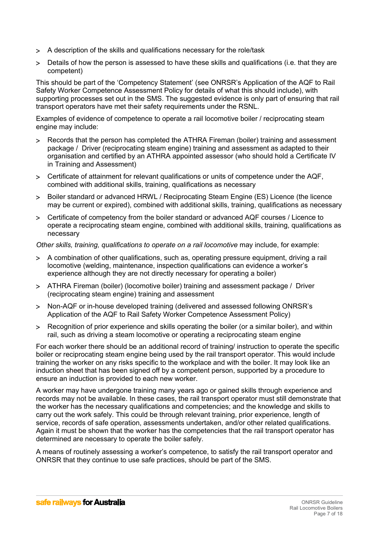- A description of the skills and qualifications necessary for the role/task
- Details of how the person is assessed to have these skills and qualifications (i.e. that they are competent)

This should be part of the 'Competency Statement' (see ONRSR's Application of the AQF to Rail Safety Worker Competence Assessment Policy for details of what this should include), with supporting processes set out in the SMS. The suggested evidence is only part of ensuring that rail transport operators have met their safety requirements under the RSNL.

Examples of evidence of competence to operate a rail locomotive boiler / reciprocating steam engine may include:

- Records that the person has completed the ATHRA Fireman (boiler) training and assessment package / Driver (reciprocating steam engine) training and assessment as adapted to their organisation and certified by an ATHRA appointed assessor (who should hold a Certificate IV in Training and Assessment)
- Certificate of attainment for relevant qualifications or units of competence under the AQF, combined with additional skills, training, qualifications as necessary
- Boiler standard or advanced HRWL / Reciprocating Steam Engine (ES) Licence (the licence may be current or expired), combined with additional skills, training, qualifications as necessary
- Certificate of competency from the boiler standard or advanced AQF courses / Licence to operate a reciprocating steam engine, combined with additional skills, training, qualifications as necessary

*Other skills, training, qualifications to operate on a rail locomotive* may include, for example:

- A combination of other qualifications, such as, operating pressure equipment, driving a rail locomotive (welding, maintenance, inspection qualifications can evidence a worker's experience although they are not directly necessary for operating a boiler)
- ATHRA Fireman (boiler) (locomotive boiler) training and assessment package / Driver (reciprocating steam engine) training and assessment
- Non-AQF or in-house developed training (delivered and assessed following ONRSR's Application of the AQF to Rail Safety Worker Competence Assessment Policy)
- Recognition of prior experience and skills operating the boiler (or a similar boiler), and within rail, such as driving a steam locomotive or operating a reciprocating steam engine

For each worker there should be an additional record of training/ instruction to operate the specific boiler or reciprocating steam engine being used by the rail transport operator. This would include training the worker on any risks specific to the workplace and with the boiler. It may look like an induction sheet that has been signed off by a competent person, supported by a procedure to ensure an induction is provided to each new worker.

A worker may have undergone training many years ago or gained skills through experience and records may not be available. In these cases, the rail transport operator must still demonstrate that the worker has the necessary qualifications and competencies; and the knowledge and skills to carry out the work safely. This could be through relevant training, prior experience, length of service, records of safe operation, assessments undertaken, and/or other related qualifications. Again it must be shown that the worker has the competencies that the rail transport operator has determined are necessary to operate the boiler safely.

A means of routinely assessing a worker's competence, to satisfy the rail transport operator and ONRSR that they continue to use safe practices, should be part of the SMS.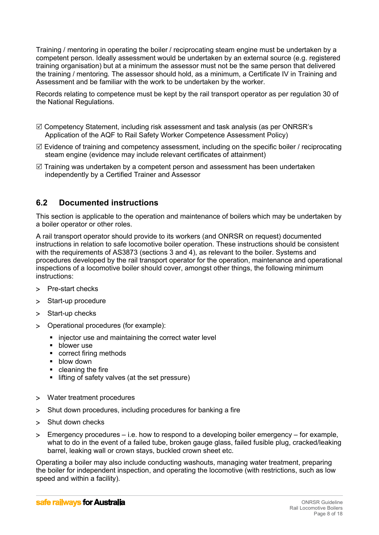Training / mentoring in operating the boiler / reciprocating steam engine must be undertaken by a competent person. Ideally assessment would be undertaken by an external source (e.g. registered training organisation) but at a minimum the assessor must not be the same person that delivered the training / mentoring. The assessor should hold, as a minimum, a Certificate IV in Training and Assessment and be familiar with the work to be undertaken by the worker.

Records relating to competence must be kept by the rail transport operator as per regulation 30 of the National Regulations.

- $\boxtimes$  Competency Statement, including risk assessment and task analysis (as per ONRSR's Application of the AQF to Rail Safety Worker Competence Assessment Policy)
- $\boxtimes$  Evidence of training and competency assessment, including on the specific boiler / reciprocating steam engine (evidence may include relevant certificates of attainment)
- $\boxtimes$  Training was undertaken by a competent person and assessment has been undertaken independently by a Certified Trainer and Assessor

## <span id="page-7-0"></span>**6.2 Documented instructions**

This section is applicable to the operation and maintenance of boilers which may be undertaken by a boiler operator or other roles.

A rail transport operator should provide to its workers (and ONRSR on request) documented instructions in relation to safe locomotive boiler operation. These instructions should be consistent with the requirements of AS3873 (sections 3 and 4), as relevant to the boiler. Systems and procedures developed by the rail transport operator for the operation, maintenance and operational inspections of a locomotive boiler should cover, amongst other things, the following minimum instructions:

- > Pre-start checks
- > Start-up procedure
- > Start-up checks
- Operational procedures (for example):
	- injector use and maintaining the correct water level
	- **blower** use
	- correct firing methods
	- **blow down**
	- cleaning the fire
	- $\blacksquare$  lifting of safety valves (at the set pressure)
- Water treatment procedures
- Shut down procedures, including procedures for banking a fire
- > Shut down checks
- $>$  Emergency procedures i.e. how to respond to a developing boiler emergency for example, what to do in the event of a failed tube, broken gauge glass, failed fusible plug, cracked/leaking barrel, leaking wall or crown stays, buckled crown sheet etc.

Operating a boiler may also include conducting washouts, managing water treatment, preparing the boiler for independent inspection, and operating the locomotive (with restrictions, such as low speed and within a facility).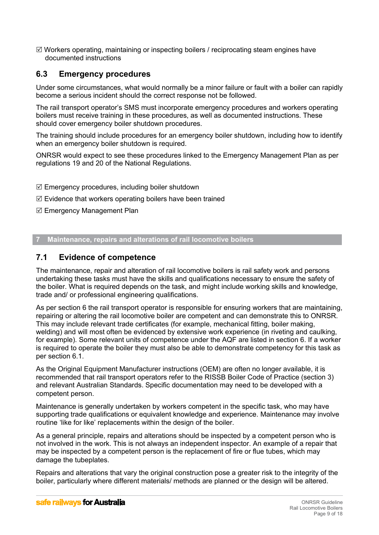$\boxtimes$  Workers operating, maintaining or inspecting boilers / reciprocating steam engines have documented instructions

# <span id="page-8-2"></span>**6.3 Emergency procedures**

Under some circumstances, what would normally be a minor failure or fault with a boiler can rapidly become a serious incident should the correct response not be followed.

The rail transport operator's SMS must incorporate emergency procedures and workers operating boilers must receive training in these procedures, as well as documented instructions. These should cover emergency boiler shutdown procedures.

The training should include procedures for an emergency boiler shutdown, including how to identify when an emergency boiler shutdown is required.

ONRSR would expect to see these procedures linked to the Emergency Management Plan as per regulations 19 and 20 of the National Regulations.

- $\boxtimes$  Emergency procedures, including boiler shutdown
- $\mathbb Z$  Evidence that workers operating boilers have been trained
- $\boxtimes$  Emergency Management Plan

<span id="page-8-1"></span>**7 Maintenance, repairs and alterations of rail locomotive boilers**

## <span id="page-8-0"></span>**7.1 Evidence of competence**

The maintenance, repair and alteration of rail locomotive boilers is rail safety work and persons undertaking these tasks must have the skills and qualifications necessary to ensure the safety of the boiler. What is required depends on the task, and might include working skills and knowledge, trade and/ or professional engineering qualifications.

As per section 6 the rail transport operator is responsible for ensuring workers that are maintaining, repairing or altering the rail locomotive boiler are competent and can demonstrate this to ONRSR. This may include relevant trade certificates (for example, mechanical fitting, boiler making, welding) and will most often be evidenced by extensive work experience (in riveting and caulking, for example). Some relevant units of competence under the AQF are listed in section 6. If a worker is required to operate the boiler they must also be able to demonstrate competency for this task as per section 6.1.

As the Original Equipment Manufacturer instructions (OEM) are often no longer available, it is recommended that rail transport operators refer to the RISSB Boiler Code of Practice (section 3) and relevant Australian Standards. Specific documentation may need to be developed with a competent person.

Maintenance is generally undertaken by workers competent in the specific task, who may have supporting trade qualifications or equivalent knowledge and experience. Maintenance may involve routine 'like for like' replacements within the design of the boiler.

As a general principle, repairs and alterations should be inspected by a competent person who is not involved in the work. This is not always an independent inspector. An example of a repair that may be inspected by a competent person is the replacement of fire or flue tubes, which may damage the tubeplates.

Repairs and alterations that vary the original construction pose a greater risk to the integrity of the boiler, particularly where different materials/ methods are planned or the design will be altered.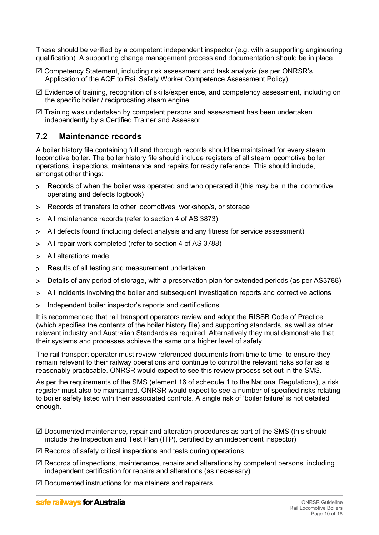These should be verified by a competent independent inspector (e.g. with a supporting engineering qualification). A supporting change management process and documentation should be in place.

- $\boxtimes$  Competency Statement, including risk assessment and task analysis (as per ONRSR's Application of the AQF to Rail Safety Worker Competence Assessment Policy)
- $\boxtimes$  Evidence of training, recognition of skills/experience, and competency assessment, including on the specific boiler / reciprocating steam engine
- $\boxtimes$  Training was undertaken by competent persons and assessment has been undertaken independently by a Certified Trainer and Assessor

## <span id="page-9-0"></span>**7.2 Maintenance records**

A boiler history file containing full and thorough records should be maintained for every steam locomotive boiler. The boiler history file should include registers of all steam locomotive boiler operations, inspections, maintenance and repairs for ready reference. This should include, amongst other things:

- Records of when the boiler was operated and who operated it (this may be in the locomotive operating and defects logbook)
- Records of transfers to other locomotives, workshop/s, or storage
- All maintenance records (refer to section 4 of AS 3873)
- All defects found (including defect analysis and any fitness for service assessment)
- All repair work completed (refer to section 4 of AS 3788)
- All alterations made
- Results of all testing and measurement undertaken
- Details of any period of storage, with a preservation plan for extended periods (as per AS3788)
- All incidents involving the boiler and subsequent investigation reports and corrective actions
- > Independent boiler inspector's reports and certifications

It is recommended that rail transport operators review and adopt the RISSB Code of Practice (which specifies the contents of the boiler history file) and supporting standards, as well as other relevant industry and Australian Standards as required. Alternatively they must demonstrate that their systems and processes achieve the same or a higher level of safety.

The rail transport operator must review referenced documents from time to time, to ensure they remain relevant to their railway operations and continue to control the relevant risks so far as is reasonably practicable. ONRSR would expect to see this review process set out in the SMS.

As per the requirements of the SMS (element 16 of schedule 1 to the National Regulations), a risk register must also be maintained. ONRSR would expect to see a number of specified risks relating to boiler safety listed with their associated controls. A single risk of 'boiler failure' is not detailed enough.

- $\boxtimes$  Documented maintenance, repair and alteration procedures as part of the SMS (this should include the Inspection and Test Plan (ITP), certified by an independent inspector)
- $\boxtimes$  Records of safety critical inspections and tests during operations
- $\boxtimes$  Records of inspections, maintenance, repairs and alterations by competent persons, including independent certification for repairs and alterations (as necessary)
- $\boxtimes$  Documented instructions for maintainers and repairers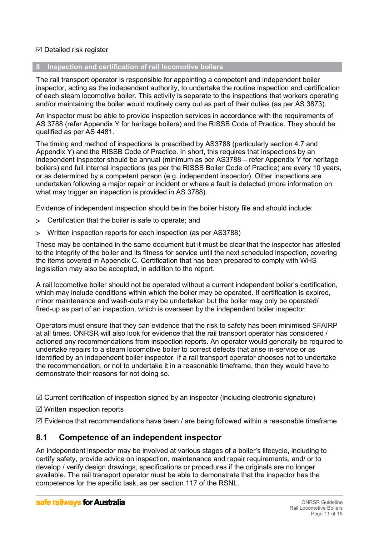#### $\boxtimes$  Detailed risk register

## <span id="page-10-1"></span>**8 Inspection and certification of rail locomotive boilers**

The rail transport operator is responsible for appointing a competent and independent boiler inspector, acting as the independent authority, to undertake the routine inspection and certification of each steam locomotive boiler. This activity is separate to the inspections that workers operating and/or maintaining the boiler would routinely carry out as part of their duties (as per AS 3873).

An inspector must be able to provide inspection services in accordance with the requirements of AS 3788 (refer Appendix Y for heritage boilers) and the RISSB Code of Practice. They should be qualified as per AS 4481.

The timing and method of inspections is prescribed by AS3788 (particularly section 4.7 and Appendix Y) and the RISSB Code of Practice. In short, this requires that inspections by an independent inspector should be annual (minimum as per AS3788 – refer Appendix Y for heritage boilers) and full internal inspections (as per the RISSB Boiler Code of Practice) are every 10 years, or as determined by a competent person (e.g. independent inspector). Other inspections are undertaken following a major repair or incident or where a fault is detected (more information on what may trigger an inspection is provided in AS 3788).

Evidence of independent inspection should be in the boiler history file and should include:

- Certification that the boiler is safe to operate; and
- Written inspection reports for each inspection (as per AS3788)

These may be contained in the same document but it must be clear that the inspector has attested to the integrity of the boiler and its fitness for service until the next scheduled inspection, covering the items covered in Appendix C. Certification that has been prepared to comply with WHS legislation may also be accepted, in addition to the report.

A rail locomotive boiler should not be operated without a current independent boiler's certification, which may include conditions within which the boiler may be operated. If certification is expired, minor maintenance and wash-outs may be undertaken but the boiler may only be operated/ fired-up as part of an inspection, which is overseen by the independent boiler inspector.

Operators must ensure that they can evidence that the risk to safety has been minimised SFAIRP at all times. ONRSR will also look for evidence that the rail transport operator has considered / actioned any recommendations from inspection reports. An operator would generally be required to undertake repairs to a steam locomotive boiler to correct defects that arise in-service or as identified by an independent boiler inspector. If a rail transport operator chooses not to undertake the recommendation, or not to undertake it in a reasonable timeframe, then they would have to demonstrate their reasons for not doing so.

 $\boxtimes$  Current certification of inspection signed by an inspector (including electronic signature)

- Written inspection reports
- $\boxtimes$  Evidence that recommendations have been / are being followed within a reasonable timeframe

## <span id="page-10-0"></span>**8.1 Competence of an independent inspector**

An independent inspector may be involved at various stages of a boiler's lifecycle, including to certify safety, provide advice on inspection, maintenance and repair requirements, and/ or to develop / verify design drawings, specifications or procedures if the originals are no longer available. The rail transport operator must be able to demonstrate that the inspector has the competence for the specific task, as per section 117 of the RSNL.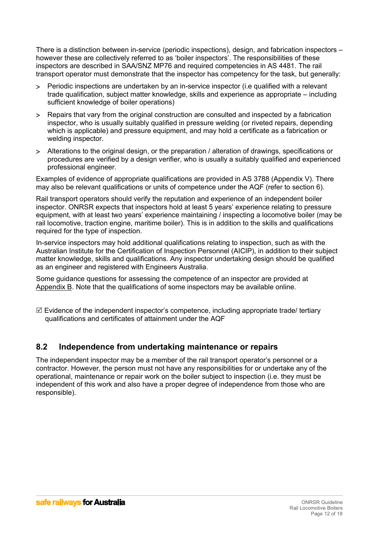There is a distinction between in-service (periodic inspections), design, and fabrication inspectors – however these are collectively referred to as 'boiler inspectors'. The responsibilities of these inspectors are described in SAA/SNZ MP76 and required competencies in AS 4481. The rail transport operator must demonstrate that the inspector has competency for the task, but generally:

- Periodic inspections are undertaken by an in-service inspector (i.e qualified with a relevant trade qualification, subject matter knowledge, skills and experience as appropriate – including sufficient knowledge of boiler operations)
- Repairs that vary from the original construction are consulted and inspected by a fabrication inspector, who is usually suitably qualified in pressure welding (or riveted repairs, depending which is applicable) and pressure equipment, and may hold a certificate as a fabrication or welding inspector.
- Alterations to the original design, or the preparation / alteration of drawings, specifications or procedures are verified by a design verifier, who is usually a suitably qualified and experienced professional engineer.

Examples of evidence of appropriate qualifications are provided in AS 3788 (Appendix V). There may also be relevant qualifications or units of competence under the AQF (refer to section 6).

Rail transport operators should verify the reputation and experience of an independent boiler inspector. ONRSR expects that inspectors hold at least 5 years' experience relating to pressure equipment, with at least two years' experience maintaining / inspecting a locomotive boiler (may be rail locomotive, traction engine, maritime boiler). This is in addition to the skills and qualifications required for the type of inspection.

In-service inspectors may hold additional qualifications relating to inspection, such as with the Australian Institute for the Certification of Inspection Personnel (AICIP), in addition to their subject matter knowledge, skills and qualifications. Any inspector undertaking design should be qualified as an engineer and registered with Engineers Australia.

Some guidance questions for assessing the competence of an inspector are provided at Appendix B. Note that the qualifications of some inspectors may be available online.

 $\boxtimes$  Evidence of the independent inspector's competence, including appropriate trade/ tertiary qualifications and certificates of attainment under the AQF

## <span id="page-11-0"></span>**8.2 Independence from undertaking maintenance or repairs**

The independent inspector may be a member of the rail transport operator's personnel or a contractor. However, the person must not have any responsibilities for or undertake any of the operational, maintenance or repair work on the boiler subject to inspection (i.e. they must be independent of this work and also have a proper degree of independence from those who are responsible).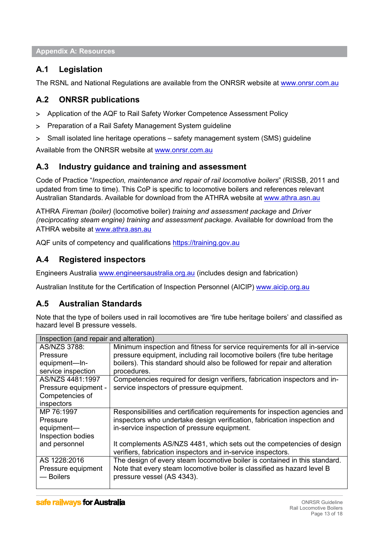<span id="page-12-5"></span>**Appendix A: Resources**

# <span id="page-12-4"></span>**A.1 Legislation**

The RSNL and National Regulations are available from the ONRSR website at [www.onrsr.com.au](http://www.onrsr.com.au/)

# <span id="page-12-3"></span>**A.2 ONRSR publications**

- Application of the AQF to Rail Safety Worker Competence Assessment Policy
- Preparation of a Rail Safety Management System guideline
- Small isolated line heritage operations safety management system (SMS) guideline

Available from the ONRSR website at [www.onrsr.com.au](http://www.onrsr.com.au/)

# <span id="page-12-2"></span>**A.3 Industry guidance and training and assessment**

Code of Practice "*Inspection, maintenance and repair of rail locomotive boilers*" (RISSB, 2011 and updated from time to time). This CoP is specific to locomotive boilers and references relevant Australian Standards. Available for download from the ATHRA website at [www.athra.asn.au](http://www.athra.asn.au/) 

ATHRA *Fireman (boiler)* (locomotive boiler) *training and assessment package* and *Driver (reciprocating steam engine) training and assessment package.* Available for download from the ATHRA website at [www.athra.asn.au](http://www.athra.asn.au/) 

AQF units of competency and qualifications [https://training.gov.au](https://training.gov.au/)

# <span id="page-12-1"></span>**A.4 Registered inspectors**

Engineers Australia [www.engineersaustralia.org.au](http://www.engineersaustralia.org.au/) (includes design and fabrication)

Australian Institute for the Certification of Inspection Personnel (AICIP) [www.aicip.org.au](http://www.aicip.org.au/)

# <span id="page-12-0"></span>**A.5 Australian Standards**

Note that the type of boilers used in rail locomotives are 'fire tube heritage boilers' and classified as hazard level B pressure vessels.

| Inspection (and repair and alteration) |                                                                             |  |  |  |
|----------------------------------------|-----------------------------------------------------------------------------|--|--|--|
| AS/NZS 3788:                           | Minimum inspection and fitness for service requirements for all in-service  |  |  |  |
| Pressure                               | pressure equipment, including rail locomotive boilers (fire tube heritage   |  |  |  |
| equipment-In-                          | boilers). This standard should also be followed for repair and alteration   |  |  |  |
| service inspection                     | procedures.                                                                 |  |  |  |
| AS/NZS 4481:1997                       | Competencies required for design verifiers, fabrication inspectors and in-  |  |  |  |
| Pressure equipment -                   | service inspectors of pressure equipment.                                   |  |  |  |
| Competencies of                        |                                                                             |  |  |  |
| inspectors                             |                                                                             |  |  |  |
| MP 76:1997                             | Responsibilities and certification requirements for inspection agencies and |  |  |  |
| Pressure                               | inspectors who undertake design verification, fabrication inspection and    |  |  |  |
| equipment-                             | in-service inspection of pressure equipment.                                |  |  |  |
| Inspection bodies                      |                                                                             |  |  |  |
| and personnel                          | It complements AS/NZS 4481, which sets out the competencies of design       |  |  |  |
|                                        | verifiers, fabrication inspectors and in-service inspectors.                |  |  |  |
| AS 1228:2016                           | The design of every steam locomotive boiler is contained in this standard.  |  |  |  |
| Pressure equipment                     | Note that every steam locomotive boiler is classified as hazard level B     |  |  |  |
| — Boilers                              | pressure vessel (AS 4343).                                                  |  |  |  |
|                                        |                                                                             |  |  |  |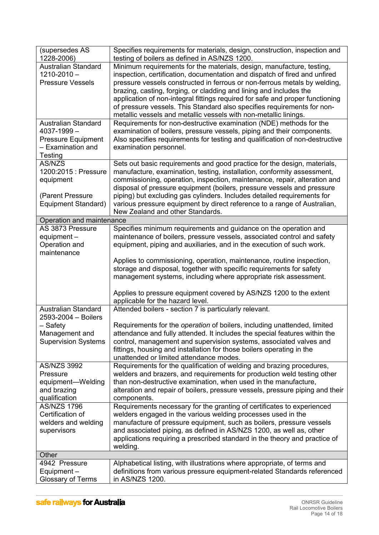| (supersedes AS<br>1228-2006)                      | Specifies requirements for materials, design, construction, inspection and<br>testing of boilers as defined in AS/NZS 1200.                         |
|---------------------------------------------------|-----------------------------------------------------------------------------------------------------------------------------------------------------|
| <b>Australian Standard</b><br>$1210 - 2010 -$     | Minimum requirements for the materials, design, manufacture, testing,<br>inspection, certification, documentation and dispatch of fired and unfired |
| <b>Pressure Vessels</b>                           | pressure vessels constructed in ferrous or non-ferrous metals by welding,                                                                           |
|                                                   | brazing, casting, forging, or cladding and lining and includes the<br>application of non-integral fittings required for safe and proper functioning |
|                                                   | of pressure vessels. This Standard also specifies requirements for non-                                                                             |
|                                                   | metallic vessels and metallic vessels with non-metallic linings.                                                                                    |
| <b>Australian Standard</b>                        | Requirements for non-destructive examination (NDE) methods for the                                                                                  |
| 4037-1999-                                        | examination of boilers, pressure vessels, piping and their components.                                                                              |
| <b>Pressure Equipment</b><br>- Examination and    | Also specifies requirements for testing and qualification of non-destructive<br>examination personnel.                                              |
| Testing                                           |                                                                                                                                                     |
| AS/NZS                                            | Sets out basic requirements and good practice for the design, materials,                                                                            |
| 1200:2015 : Pressure                              | manufacture, examination, testing, installation, conformity assessment,                                                                             |
| equipment                                         | commissioning, operation, inspection, maintenance, repair, alteration and                                                                           |
| (Parent Pressure                                  | disposal of pressure equipment (boilers, pressure vessels and pressure<br>piping) but excluding gas cylinders. Includes detailed requirements for   |
| Equipment Standard)                               | various pressure equipment by direct reference to a range of Australian,                                                                            |
|                                                   | New Zealand and other Standards.                                                                                                                    |
| Operation and maintenance                         |                                                                                                                                                     |
| AS 3873 Pressure                                  | Specifies minimum requirements and guidance on the operation and<br>maintenance of boilers, pressure vessels, associated control and safety         |
| equipment-<br>Operation and                       | equipment, piping and auxiliaries, and in the execution of such work.                                                                               |
| maintenance                                       |                                                                                                                                                     |
|                                                   | Applies to commissioning, operation, maintenance, routine inspection,                                                                               |
|                                                   | storage and disposal, together with specific requirements for safety                                                                                |
|                                                   | management systems, including where appropriate risk assessment.                                                                                    |
|                                                   | Applies to pressure equipment covered by AS/NZS 1200 to the extent                                                                                  |
|                                                   | applicable for the hazard level.                                                                                                                    |
| <b>Australian Standard</b><br>2593-2004 - Boilers | Attended boilers - section 7 is particularly relevant.                                                                                              |
| - Safety                                          | Requirements for the operation of boilers, including unattended, limited                                                                            |
| Management and<br><b>Supervision Systems</b>      | attendance and fully attended. It includes the special features within the<br>control, management and supervision systems, associated valves and    |
|                                                   | fittings, housing and installation for those boilers operating in the                                                                               |
|                                                   | unattended or limited attendance modes.                                                                                                             |
| <b>AS/NZS 3992</b>                                | Requirements for the qualification of welding and brazing procedures,                                                                               |
| Pressure                                          | welders and brazers, and requirements for production weld testing other                                                                             |
| equipment-Welding<br>and brazing                  | than non-destructive examination, when used in the manufacture,<br>alteration and repair of boilers, pressure vessels, pressure piping and their    |
| qualification                                     | components.                                                                                                                                         |
| <b>AS/NZS 1796</b>                                | Requirements necessary for the granting of certificates to experienced                                                                              |
| Certification of                                  | welders engaged in the various welding processes used in the                                                                                        |
| welders and welding                               | manufacture of pressure equipment, such as boilers, pressure vessels                                                                                |
| supervisors                                       | and associated piping, as defined in AS/NZS 1200, as well as, other<br>applications requiring a prescribed standard in the theory and practice of   |
|                                                   | welding.                                                                                                                                            |
| Other                                             |                                                                                                                                                     |
| 4942 Pressure                                     | Alphabetical listing, with illustrations where appropriate, of terms and                                                                            |
| Equipment-<br>Glossary of Terms                   | definitions from various pressure equipment-related Standards referenced<br>in AS/NZS 1200.                                                         |
|                                                   |                                                                                                                                                     |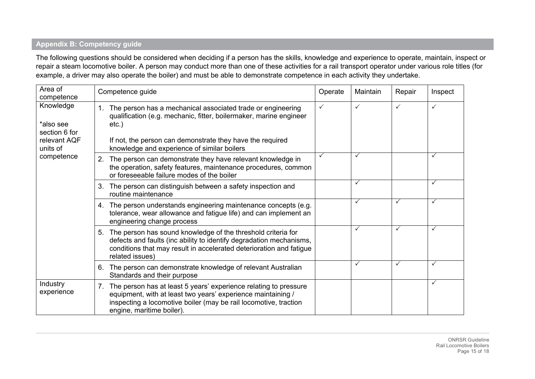## **Appendix B: Competency guide**

The following questions should be considered when deciding if a person has the skills, knowledge and experience to operate, maintain, inspect or repair a steam locomotive boiler. A person may conduct more than one of these activities for a rail transport operator under various role titles (for example, a driver may also operate the boiler) and must be able to demonstrate competence in each activity they undertake.

<span id="page-14-0"></span>

| Area of<br>competence                                               | Competence guide                                                                                                                                                                                                                                                | Operate      | Maintain     | Repair | Inspect |
|---------------------------------------------------------------------|-----------------------------------------------------------------------------------------------------------------------------------------------------------------------------------------------------------------------------------------------------------------|--------------|--------------|--------|---------|
| Knowledge<br>*also see<br>section 6 for<br>relevant AQF<br>units of | The person has a mechanical associated trade or engineering<br>1.<br>qualification (e.g. mechanic, fitter, boilermaker, marine engineer<br>$etc.$ )<br>If not, the person can demonstrate they have the required<br>knowledge and experience of similar boilers | $\checkmark$ | $\checkmark$ |        | ✓       |
| competence                                                          | 2. The person can demonstrate they have relevant knowledge in<br>the operation, safety features, maintenance procedures, common<br>or foreseeable failure modes of the boiler                                                                                   | ✓            | ✓            |        | ✓       |
|                                                                     | 3. The person can distinguish between a safety inspection and<br>routine maintenance                                                                                                                                                                            |              | $\checkmark$ |        | ✓       |
|                                                                     | 4. The person understands engineering maintenance concepts (e.g.<br>tolerance, wear allowance and fatigue life) and can implement an<br>engineering change process                                                                                              |              | $\checkmark$ |        | ✓       |
|                                                                     | 5. The person has sound knowledge of the threshold criteria for<br>defects and faults (inc ability to identify degradation mechanisms,<br>conditions that may result in accelerated deterioration and fatigue<br>related issues)                                |              | ✓            | ✓      | ✓       |
|                                                                     | 6. The person can demonstrate knowledge of relevant Australian<br>Standards and their purpose                                                                                                                                                                   |              | ✓            |        | ✓       |
| Industry<br>experience                                              | 7. The person has at least 5 years' experience relating to pressure<br>equipment, with at least two years' experience maintaining /<br>inspecting a locomotive boiler (may be rail locomotive, traction<br>engine, maritime boiler).                            |              |              |        | ✓       |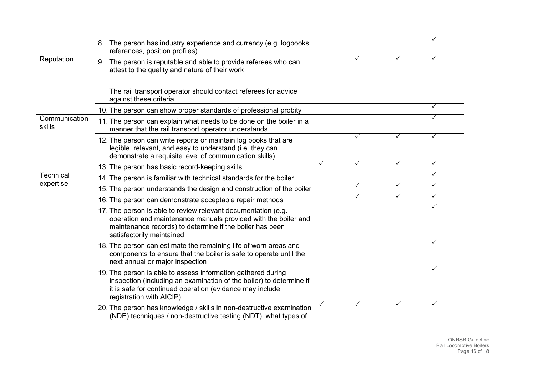|                         | 8. The person has industry experience and currency (e.g. logbooks,<br>references, position profiles)                                                                                                                        |              |              |              | ✓            |
|-------------------------|-----------------------------------------------------------------------------------------------------------------------------------------------------------------------------------------------------------------------------|--------------|--------------|--------------|--------------|
| Reputation              | 9. The person is reputable and able to provide referees who can<br>attest to the quality and nature of their work                                                                                                           |              | ✓            | ✓            | $\checkmark$ |
|                         | The rail transport operator should contact referees for advice<br>against these criteria.                                                                                                                                   |              |              |              |              |
|                         | 10. The person can show proper standards of professional probity                                                                                                                                                            |              |              |              | $\checkmark$ |
| Communication<br>skills | 11. The person can explain what needs to be done on the boiler in a<br>manner that the rail transport operator understands                                                                                                  |              |              |              | $\checkmark$ |
|                         | 12. The person can write reports or maintain log books that are<br>legible, relevant, and easy to understand (i.e. they can<br>demonstrate a requisite level of communication skills)                                       |              | ✓            | $\checkmark$ | $\checkmark$ |
|                         | 13. The person has basic record-keeping skills                                                                                                                                                                              | ✓            | ✓            | $\checkmark$ | $\checkmark$ |
| <b>Technical</b>        | 14. The person is familiar with technical standards for the boiler                                                                                                                                                          |              |              |              | $\checkmark$ |
| expertise               | 15. The person understands the design and construction of the boiler                                                                                                                                                        |              | $\checkmark$ | $\checkmark$ | $\checkmark$ |
|                         | 16. The person can demonstrate acceptable repair methods                                                                                                                                                                    |              | ✓            | $\checkmark$ | $\checkmark$ |
|                         | 17. The person is able to review relevant documentation (e.g.<br>operation and maintenance manuals provided with the boiler and<br>maintenance records) to determine if the boiler has been<br>satisfactorily maintained    |              |              |              | $\checkmark$ |
|                         | 18. The person can estimate the remaining life of worn areas and<br>components to ensure that the boiler is safe to operate until the<br>next annual or major inspection                                                    |              |              |              | $\checkmark$ |
|                         | 19. The person is able to assess information gathered during<br>inspection (including an examination of the boiler) to determine if<br>it is safe for continued operation (evidence may include<br>registration with AICIP) |              |              |              | $\checkmark$ |
|                         | 20. The person has knowledge / skills in non-destructive examination<br>(NDE) techniques / non-destructive testing (NDT), what types of                                                                                     | $\checkmark$ | ✓            | $\checkmark$ | $\checkmark$ |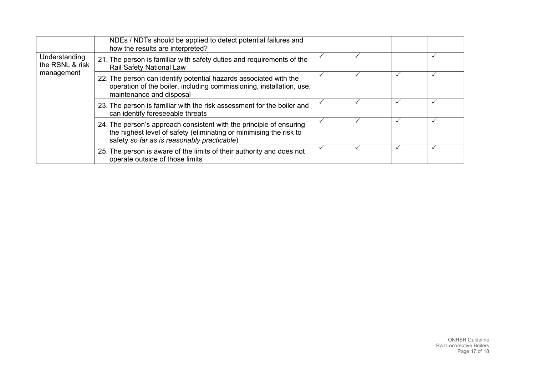|                                  | NDEs / NDTs should be applied to detect potential failures and<br>how the results are interpreted?                                                                                       |  |  |
|----------------------------------|------------------------------------------------------------------------------------------------------------------------------------------------------------------------------------------|--|--|
| Understanding<br>the RSNL & risk | 21. The person is familiar with safety duties and requirements of the<br>Rail Safety National Law                                                                                        |  |  |
| management                       | 22. The person can identify potential hazards associated with the<br>operation of the boiler, including commissioning, installation, use,<br>maintenance and disposal                    |  |  |
|                                  | 23. The person is familiar with the risk assessment for the boiler and<br>can identify foreseeable threats                                                                               |  |  |
|                                  | 24. The person's approach consistent with the principle of ensuring<br>the highest level of safety (eliminating or minimising the risk to<br>safety so far as is reasonably practicable) |  |  |
|                                  | 25. The person is aware of the limits of their authority and does not<br>operate outside of those limits                                                                                 |  |  |